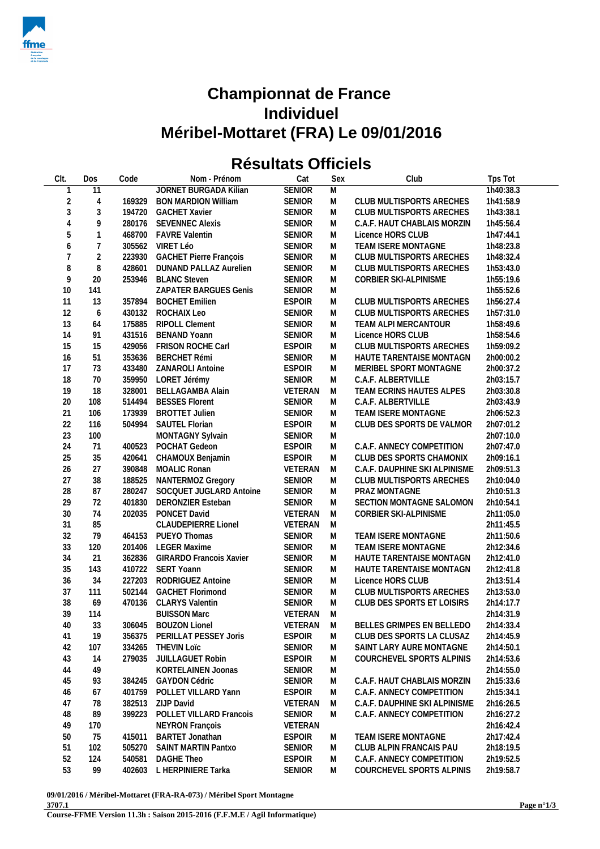

## **Championnat de France Individuel Méribel-Mottaret (FRA) Le 09/01/2016**

## **Résultats Officiels**

| CIt.           | Dos                      | Code   | Nom - Prénom                   | Cat           | Sex            | Club                          | Tps Tot   |
|----------------|--------------------------|--------|--------------------------------|---------------|----------------|-------------------------------|-----------|
| 1              | 11                       |        | <b>JORNET BURGADA Kilian</b>   | <b>SENIOR</b> | $\overline{M}$ |                               | 1h40:38.3 |
| $\overline{2}$ | $\overline{4}$           | 169329 | <b>BON MARDION William</b>     | <b>SENIOR</b> | M              | CLUB MULTISPORTS ARECHES      | 1h41:58.9 |
| $\sqrt{3}$     | $\sqrt{3}$               | 194720 | <b>GACHET Xavier</b>           | <b>SENIOR</b> | M              | CLUB MULTISPORTS ARECHES      | 1h43:38.1 |
| $\sqrt{4}$     | 9                        | 280176 | <b>SEVENNEC Alexis</b>         | SENIOR        | M              | C.A.F. HAUT CHABLAIS MORZIN   | 1h45:56.4 |
| 5              | $\mathbf{1}$             |        | 468700 FAVRE Valentin          | SENIOR        | M              | Licence HORS CLUB             | 1h47:44.1 |
| 6              | $\overline{\mathcal{I}}$ |        | 305562 VIRET Léo               | SENIOR        | M              | TEAM ISERE MONTAGNE           | 1h48:23.8 |
| 7              | $\overline{2}$           | 223930 | <b>GACHET Pierre François</b>  | <b>SENIOR</b> | M              | CLUB MULTISPORTS ARECHES      | 1h48:32.4 |
| 8              | $\, 8$                   | 428601 | DUNAND PALLAZ Aurelien         | SENIOR        | M              | CLUB MULTISPORTS ARECHES      | 1h53:43.0 |
| 9              | 20                       | 253946 | <b>BLANC Steven</b>            | SENIOR        | M              | CORBIER SKI-ALPINISME         | 1h55:19.6 |
| $10$           | 141                      |        | ZAPATER BARGUES Genis          | <b>SENIOR</b> | M              |                               | 1h55:52.6 |
| 11             | 13                       | 357894 | <b>BOCHET Emilien</b>          | <b>ESPOIR</b> | M              | CLUB MULTISPORTS ARECHES      | 1h56:27.4 |
| 12             | 6                        | 430132 | ROCHAIX Leo                    | <b>SENIOR</b> | M              | CLUB MULTISPORTS ARECHES      | 1h57:31.0 |
| 13             | 64                       | 175885 | <b>RIPOLL Clement</b>          | <b>SENIOR</b> | M              | TEAM ALPI MERCANTOUR          | 1h58:49.6 |
| 14             | 91                       | 431516 | <b>BENAND Yoann</b>            | <b>SENIOR</b> | M              | Licence HORS CLUB             | 1h58:54.6 |
| 15             | 15                       | 429056 | FRISON ROCHE Carl              | <b>ESPOIR</b> | M              | CLUB MULTISPORTS ARECHES      | 1h59:09.2 |
| 16             | 51                       | 353636 | <b>BERCHET Rémi</b>            | <b>SENIOR</b> | M              | HAUTE TARENTAISE MONTAGN      | 2h00:00.2 |
| 17             | 73                       | 433480 | <b>ZANAROLI Antoine</b>        | <b>ESPOIR</b> | M              | MERIBEL SPORT MONTAGNE        | 2h00:37.2 |
| 18             | $70$                     | 359950 | LORET Jérémy                   | SENIOR        | M              | C.A.F. ALBERTVILLE            | 2h03:15.7 |
| 19             | 18                       | 328001 | <b>BELLAGAMBA Alain</b>        | VETERAN       | M              | TEAM ECRINS HAUTES ALPES      | 2h03:30.8 |
| 20             | 108                      | 514494 | <b>BESSES Florent</b>          | <b>SENIOR</b> | M              | C.A.F. ALBERTVILLE            | 2h03:43.9 |
| 21             | 106                      | 173939 | <b>BROTTET Julien</b>          | <b>SENIOR</b> | M              | TEAM ISERE MONTAGNE           | 2h06:52.3 |
| 22             | 116                      | 504994 | SAUTEL Florian                 | <b>ESPOIR</b> | M              | CLUB DES SPORTS DE VALMOR     | 2h07:01.2 |
| 23             | 100                      |        | MONTAGNY Sylvain               | <b>SENIOR</b> | M              |                               | 2h07:10.0 |
| 24             | 71                       | 400523 | POCHAT Gedeon                  | <b>ESPOIR</b> | M              | C.A.F. ANNECY COMPETITION     | 2h07:47.0 |
| 25             | 35                       | 420641 | CHAMOUX Benjamin               | <b>ESPOIR</b> | M              | CLUB DES SPORTS CHAMONIX      | 2h09:16.1 |
| 26             | 27                       | 390848 | MOALIC Ronan                   | VETERAN       | M              | C.A.F. DAUPHINE SKI ALPINISME | 2h09:51.3 |
| 27             | 38                       | 188525 | NANTERMOZ Gregory              | SENIOR        | M              | CLUB MULTISPORTS ARECHES      | 2h10:04.0 |
| 28             | 87                       | 280247 | SOCQUET JUGLARD Antoine        | SENIOR        | M              | PRAZ MONTAGNE                 | 2h10:51.3 |
| 29             | 72                       | 401830 | DERONZIER Esteban              | <b>SENIOR</b> | M              | SECTION MONTAGNE SALOMON      | 2h10:54.1 |
| $30\,$         | 74                       | 202035 | PONCET David                   | VETERAN       | M              | CORBIER SKI-ALPINISME         | 2h11:05.0 |
| 31             | 85                       |        | <b>CLAUDEPIERRE Lionel</b>     | VETERAN       | M              |                               | 2h11:45.5 |
| 32             | 79                       | 464153 | PUEYO Thomas                   | SENIOR        | M              | TEAM ISERE MONTAGNE           | 2h11:50.6 |
| 33             | 120                      | 201406 | <b>LEGER Maxime</b>            | <b>SENIOR</b> | M              | TEAM ISERE MONTAGNE           | 2h12:34.6 |
| 34             | 21                       | 362836 | <b>GIRARDO Francois Xavier</b> | <b>SENIOR</b> | M              | HAUTE TARENTAISE MONTAGN      | 2h12:41.0 |
| 35             | 143                      | 410722 | SERT Yoann                     | SENIOR        | M              | HAUTE TARENTAISE MONTAGN      | 2h12:41.8 |
| 36             | 34                       | 227203 | RODRIGUEZ Antoine              | SENIOR        | M              | Licence HORS CLUB             | 2h13:51.4 |
| 37             | 111                      | 502144 | <b>GACHET Florimond</b>        | <b>SENIOR</b> | M              | CLUB MULTISPORTS ARECHES      | 2h13:53.0 |
| 38             | 69                       | 470136 | <b>CLARYS Valentin</b>         | SENIOR        | M              | CLUB DES SPORTS ET LOISIRS    | 2h14:17.7 |
| 39             | 114                      |        | <b>BUISSON Marc</b>            | VETERAN       | M              |                               | 2h14:31.9 |
|                |                          |        |                                |               |                | BELLES GRIMPES EN BELLEDO     |           |
| 40             | 33                       |        | 306045 BOUZON Lionel           | VETERAN M     |                |                               | 2h14:33.4 |
| 41             | 19                       |        | 356375 PERILLAT PESSEY Joris   | <b>ESPOIR</b> | M              | CLUB DES SPORTS LA CLUSAZ     | 2h14:45.9 |
| 42             | 107                      | 334265 | <b>THEVIN LOTC</b>             | <b>SENIOR</b> | M              | SAINT LARY AURE MONTAGNE      | 2h14:50.1 |
| 43             | 14                       | 279035 | JUILLAGUET Robin               | <b>ESPOIR</b> | M              | COURCHEVEL SPORTS ALPINIS     | 2h14:53.6 |
| 44             | 49                       |        | <b>KORTELAINEN Joonas</b>      | <b>SENIOR</b> | M              |                               | 2h14:55.0 |
| 45             | 93                       | 384245 | <b>GAYDON Cédric</b>           | <b>SENIOR</b> | M              | C.A.F. HAUT CHABLAIS MORZIN   | 2h15:33.6 |
| 46             | 67                       | 401759 | POLLET VILLARD Yann            | <b>ESPOIR</b> | M              | C.A.F. ANNECY COMPETITION     | 2h15:34.1 |
| 47             | 78                       | 382513 | ZIJP David                     | VETERAN       | M              | C.A.F. DAUPHINE SKI ALPINISME | 2h16:26.5 |
| 48             | 89                       | 399223 | POLLET VILLARD Francois        | <b>SENIOR</b> | M              | C.A.F. ANNECY COMPETITION     | 2h16:27.2 |
| 49             | 170                      |        | <b>NEYRON François</b>         | VETERAN       |                |                               | 2h16:42.4 |
| 50             | 75                       | 415011 | <b>BARTET Jonathan</b>         | <b>ESPOIR</b> | M              | <b>TEAM ISERE MONTAGNE</b>    | 2h17:42.4 |
| 51             | 102                      | 505270 | <b>SAINT MARTIN Pantxo</b>     | <b>SENIOR</b> | M              | CLUB ALPIN FRANCAIS PAU       | 2h18:19.5 |
| 52             | 124                      | 540581 | DAGHE Theo                     | <b>ESPOIR</b> | M              | C.A.F. ANNECY COMPETITION     | 2h19:52.5 |
| 53             | 99                       |        | 402603 L HERPINIERE Tarka      | SENIOR        | M              | COURCHEVEL SPORTS ALPINIS     | 2h19:58.7 |

**09/01/2016 / Méribel-Mottaret (FRA-RA-073) / Méribel Sport Montagne 3707.1**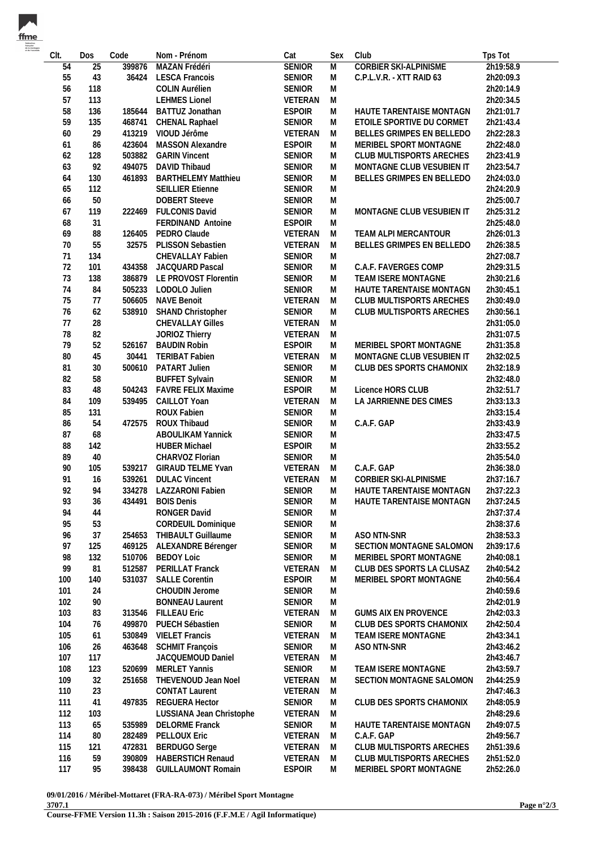| fme                                    |
|----------------------------------------|
| fédération<br>francaise<br>de la menti |
| et de l'escalade                       |

| CIt. | Dos             | Code   | Nom - Prénom                          | Cat           | Sex    | Club                         | Tps Tot   |
|------|-----------------|--------|---------------------------------------|---------------|--------|------------------------------|-----------|
| 54   | $\overline{25}$ | 399876 | MAZAN Frédéri                         | <b>SENIOR</b> | M      | <b>CORBIER SKI-ALPINISME</b> | 2h19:58.9 |
| 55   | 43              | 36424  | <b>LESCA Francois</b>                 | SENIOR        | M      | C.P.L.V.R. - XTT RAID 63     | 2h20:09.3 |
| 56   | 118             |        | <b>COLIN Aurélien</b>                 | <b>SENIOR</b> | M      |                              | 2h20:14.9 |
| 57   | 113             |        | <b>LEHMES Lionel</b>                  | VETERAN       | M      |                              | 2h20:34.5 |
| 58   | 136             | 185644 | BATTUZ Jonathan                       | <b>ESPOIR</b> | M      | HAUTE TARENTAISE MONTAGN     | 2h21:01.7 |
| 59   | 135             | 468741 | CHENAL Raphael                        | <b>SENIOR</b> | M      | ETOILE SPORTIVE DU CORMET    | 2h21:43.4 |
| 60   | 29              | 413219 | VIOUD Jérôme                          | VETERAN       | M      | BELLES GRIMPES EN BELLEDO    | 2h22:28.3 |
| 61   | 86              | 423604 | MASSON Alexandre                      | <b>ESPOIR</b> | M      | MERIBEL SPORT MONTAGNE       | 2h22:48.0 |
| 62   | 128             | 503882 | <b>GARIN Vincent</b>                  | SENIOR        | M      | CLUB MULTISPORTS ARECHES     | 2h23:41.9 |
| 63   | 92              | 494075 | DAVID Thibaud                         | SENIOR        | M      | MONTAGNE CLUB VESUBIEN IT    | 2h23:54.7 |
| 64   | 130             | 461893 | <b>BARTHELEMY Matthieu</b>            | <b>SENIOR</b> | M      | BELLES GRIMPES EN BELLEDO    | 2h24:03.0 |
| 65   | 112             |        | <b>SEILLIER Etienne</b>               | SENIOR        | M      |                              | 2h24:20.9 |
| 66   | 50              |        | <b>DOBERT</b> Steeve                  | <b>SENIOR</b> | M      |                              | 2h25:00.7 |
| 67   | 119             | 222469 | <b>FULCONIS David</b>                 | <b>SENIOR</b> | M      | MONTAGNE CLUB VESUBIEN IT    | 2h25:31.2 |
| 68   | 31              |        | FERDINAND Antoine                     | <b>ESPOIR</b> | M      |                              | 2h25:48.0 |
| 69   | 88              | 126405 | PEDRO Claude                          | VETERAN       | M      | TEAM ALPI MERCANTOUR         | 2h26:01.3 |
| $70$ | 55              | 32575  | PLISSON Sebastien                     | VETERAN       | M      | BELLES GRIMPES EN BELLEDO    | 2h26:38.5 |
| 71   | 134             |        | CHEVALLAY Fabien                      | SENIOR        | M      |                              | 2h27:08.7 |
| 72   | 101             | 434358 | JACQUARD Pascal                       | <b>SENIOR</b> | M      | C.A.F. FAVERGES COMP         | 2h29:31.5 |
| 73   | 138             |        | 386879 LE PROVOST Florentin           | SENIOR        | M      | TEAM ISERE MONTAGNE          | 2h30:21.6 |
| 74   | 84              |        | 505233 LODOLO Julien                  | SENIOR        | M      | HAUTE TARENTAISE MONTAGN     | 2h30:45.1 |
| 75   | 77              | 506605 | <b>NAVE Benoit</b>                    | VETERAN       | M      | CLUB MULTISPORTS ARECHES     | 2h30:49.0 |
| 76   |                 |        |                                       |               |        |                              |           |
| 77   | 62              | 538910 | SHAND Christopher<br>CHEVALLAY Gilles | SENIOR        | M<br>M | CLUB MULTISPORTS ARECHES     | 2h30:56.1 |
|      | 28              |        |                                       | VETERAN       |        |                              | 2h31:05.0 |
| 78   | 82              |        | <b>JORIOZ Thierry</b>                 | VETERAN       | M      |                              | 2h31:07.5 |
| 79   | 52              | 526167 | <b>BAUDIN Robin</b>                   | <b>ESPOIR</b> | M      | MERIBEL SPORT MONTAGNE       | 2h31:35.8 |
| 80   | 45              | 30441  | <b>TERIBAT Fabien</b>                 | VETERAN       | M      | MONTAGNE CLUB VESUBIEN IT    | 2h32:02.5 |
| 81   | 30              | 500610 | PATART Julien                         | SENIOR        | M      | CLUB DES SPORTS CHAMONIX     | 2h32:18.9 |
| 82   | 58              |        | <b>BUFFET Sylvain</b>                 | <b>SENIOR</b> | M      |                              | 2h32:48.0 |
| 83   | 48              |        | 504243 FAVRE FELIX Maxime             | <b>ESPOIR</b> | M      | Licence HORS CLUB            | 2h32:51.7 |
| 84   | 109             | 539495 | CAILLOT Yoan                          | VETERAN       | M      | LA JARRIENNE DES CIMES       | 2h33:13.3 |
| 85   | 131             |        | ROUX Fabien                           | SENIOR        | M      |                              | 2h33:15.4 |
| 86   | 54              | 472575 | ROUX Thibaud                          | SENIOR        | M      | C.A.F. GAP                   | 2h33:43.9 |
| 87   | 68              |        | ABOULIKAM Yannick                     | SENIOR        | M      |                              | 2h33:47.5 |
| 88   | 142             |        | <b>HUBER Michael</b>                  | <b>ESPOIR</b> | M      |                              | 2h33:55.2 |
| 89   | 40              |        | CHARVOZ Florian                       | SENIOR        | M      |                              | 2h35:54.0 |
| 90   | 105             | 539217 | <b>GIRAUD TELME Yvan</b>              | VETERAN       | M      | C.A.F. GAP                   | 2h36:38.0 |
| 91   | 16              | 539261 | <b>DULAC Vincent</b>                  | VETERAN       | M      | CORBIER SKI-ALPINISME        | 2h37:16.7 |
| 92   | 94              | 334278 | LAZZARONI Fabien                      | <b>SENIOR</b> | M      | HAUTE TARENTAISE MONTAGN     | 2h37:22.3 |
| 93   | 36              | 434491 | <b>BOIS Denis</b>                     | <b>SENIOR</b> | M      | HAUTE TARENTAISE MONTAGN     | 2h37:24.5 |
| 94   | 44              |        | RONGER David                          | SENIOR        | M      |                              | 2h37:37.4 |
| 95   | 53              |        | CORDEUIL Dominique                    | SENIOR        | Μ      |                              | 2h38:37.6 |
| 96   | 37              | 254653 | THIBAULT Guillaume                    | SENIOR        | M      | ASO NTN-SNR                  | 2h38:53.3 |
| 97   | 125             | 469125 | ALEXANDRE Bérenger                    | SENIOR        | M      | SECTION MONTAGNE SALOMON     | 2h39:17.6 |
| 98   | 132             | 510706 | <b>BEDOY Loic</b>                     | <b>SENIOR</b> | M      | MERIBEL SPORT MONTAGNE       | 2h40:08.1 |
| 99   | 81              | 512587 | PERILLAT Franck                       | VETERAN       | M      | CLUB DES SPORTS LA CLUSAZ    | 2h40:54.2 |
| 100  | 140             | 531037 | <b>SALLE Corentin</b>                 | <b>ESPOIR</b> | M      | MERIBEL SPORT MONTAGNE       | 2h40:56.4 |
| 101  | 24              |        | CHOUDIN Jerome                        | SENIOR        | M      |                              | 2h40:59.6 |
| 102  | 90              |        | <b>BONNEAU Laurent</b>                | SENIOR        | M      |                              | 2h42:01.9 |
| 103  | 83              | 313546 | <b>FILLEAU Eric</b>                   | VETERAN       | M      | <b>GUMS AIX EN PROVENCE</b>  | 2h42:03.3 |
| 104  | 76              | 499870 | PUECH Sébastien                       | SENIOR        | M      | CLUB DES SPORTS CHAMONIX     | 2h42:50.4 |
| 105  | 61              | 530849 | <b>VIELET Francis</b>                 | VETERAN       | M      | TEAM ISERE MONTAGNE          | 2h43:34.1 |
| 106  | 26              | 463648 | <b>SCHMIT François</b>                | SENIOR        | M      | ASO NTN-SNR                  | 2h43:46.2 |
| 107  | 117             |        | JACQUEMOUD Daniel                     | VETERAN       | M      |                              | 2h43:46.7 |
| 108  | 123             | 520699 | MERLET Yannis                         | SENIOR        | M      | TEAM ISERE MONTAGNE          | 2h43:59.7 |
| 109  | 32              | 251658 | THEVENOUD Jean Noel                   | VETERAN       | M      | SECTION MONTAGNE SALOMON     | 2h44:25.9 |
| 110  | 23              |        | <b>CONTAT Laurent</b>                 | VETERAN       | M      |                              | 2h47:46.3 |
| 111  | 41              | 497835 | REGUERA Hector                        | <b>SENIOR</b> | M      | CLUB DES SPORTS CHAMONIX     | 2h48:05.9 |
| 112  | 103             |        | LUSSIANA Jean Christophe              | VETERAN       | M      |                              | 2h48:29.6 |
| 113  | 65              | 535989 | <b>DELORME Franck</b>                 | SENIOR        | M      | HAUTE TARENTAISE MONTAGN     | 2h49:07.5 |
| 114  | 80              | 282489 | PELLOUX Eric                          | VETERAN       | M      | C.A.F. GAP                   | 2h49:56.7 |
| 115  | 121             | 472831 | <b>BERDUGO</b> Serge                  | VETERAN       | M      | CLUB MULTISPORTS ARECHES     | 2h51:39.6 |
| 116  | 59              | 390809 | HABERSTICH Renaud                     | VETERAN       | M      | CLUB MULTISPORTS ARECHES     | 2h51:52.0 |
| 117  | 95              | 398438 | <b>GUILLAUMONT Romain</b>             | <b>ESPOIR</b> | M      | MERIBEL SPORT MONTAGNE       | 2h52:26.0 |
|      |                 |        |                                       |               |        |                              |           |

**09/01/2016 / Méribel-Mottaret (FRA-RA-073) / Méribel Sport Montagne 3707.1**